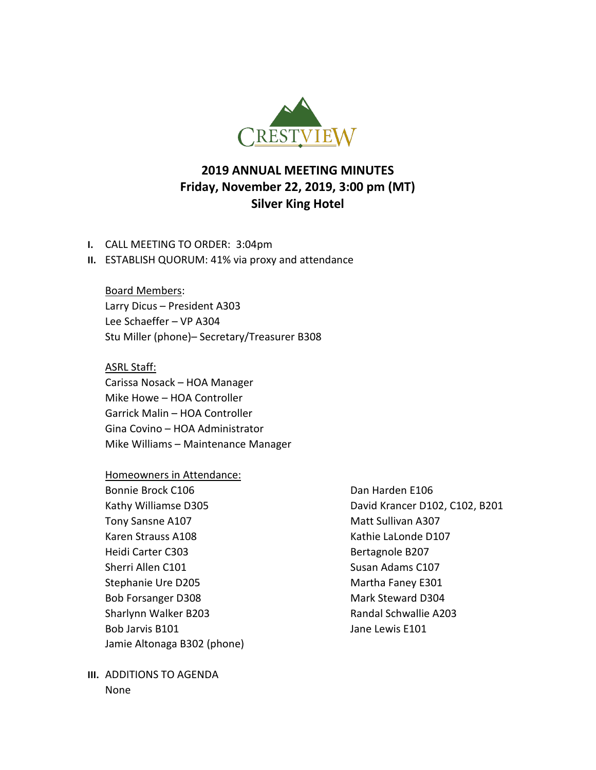

# **2019 ANNUAL MEETING MINUTES Friday, November 22, 2019, 3:00 pm (MT) Silver King Hotel**

- **I.** CALL MEETING TO ORDER: 3:04pm
- **II.** ESTABLISH QUORUM: 41% via proxy and attendance

Board Members: Larry Dicus – President A303 Lee Schaeffer – VP A304 Stu Miller (phone)– Secretary/Treasurer B308

### ASRL Staff:

Carissa Nosack – HOA Manager Mike Howe – HOA Controller Garrick Malin – HOA Controller Gina Covino – HOA Administrator Mike Williams – Maintenance Manager

#### Homeowners in Attendance:

Bonnie Brock C106 Dan Harden E106 Tony Sansne A107 Matt Sullivan A307 Karen Strauss A108 Kathie LaLonde D107 Heidi Carter C303 Bertagnole B207 Sherri Allen C101 Susan Adams C107 Stephanie Ure D205 Martha Faney E301 Bob Forsanger D308 Mark Steward D304 Sharlynn Walker B203 **Randal Schwallie A203** Bob Jarvis B101 **Jane Lewis E101** Jamie Altonaga B302 (phone)

**III.** ADDITIONS TO AGENDA None

Kathy Williamse D305 **David Krancer D102, C102, B201**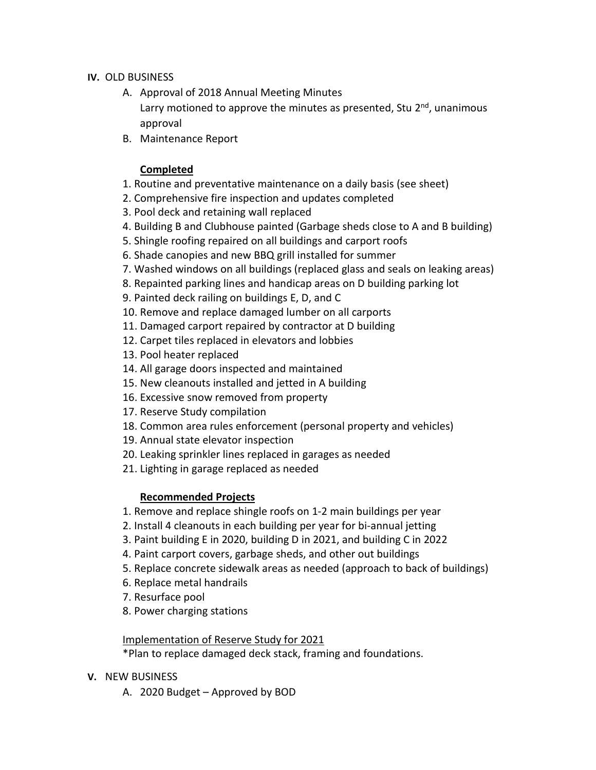### **IV.** OLD BUSINESS

- A. Approval of 2018 Annual Meeting Minutes Larry motioned to approve the minutes as presented, Stu  $2<sup>nd</sup>$ , unanimous approval
- B. Maintenance Report

### **Completed**

- 1. Routine and preventative maintenance on a daily basis (see sheet)
- 2. Comprehensive fire inspection and updates completed
- 3. Pool deck and retaining wall replaced
- 4. Building B and Clubhouse painted (Garbage sheds close to A and B building)
- 5. Shingle roofing repaired on all buildings and carport roofs
- 6. Shade canopies and new BBQ grill installed for summer
- 7. Washed windows on all buildings (replaced glass and seals on leaking areas)
- 8. Repainted parking lines and handicap areas on D building parking lot
- 9. Painted deck railing on buildings E, D, and C
- 10. Remove and replace damaged lumber on all carports
- 11. Damaged carport repaired by contractor at D building
- 12. Carpet tiles replaced in elevators and lobbies
- 13. Pool heater replaced
- 14. All garage doors inspected and maintained
- 15. New cleanouts installed and jetted in A building
- 16. Excessive snow removed from property
- 17. Reserve Study compilation
- 18. Common area rules enforcement (personal property and vehicles)
- 19. Annual state elevator inspection
- 20. Leaking sprinkler lines replaced in garages as needed
- 21. Lighting in garage replaced as needed

## **Recommended Projects**

- 1. Remove and replace shingle roofs on 1-2 main buildings per year
- 2. Install 4 cleanouts in each building per year for bi-annual jetting
- 3. Paint building E in 2020, building D in 2021, and building C in 2022
- 4. Paint carport covers, garbage sheds, and other out buildings
- 5. Replace concrete sidewalk areas as needed (approach to back of buildings)
- 6. Replace metal handrails
- 7. Resurface pool
- 8. Power charging stations

## Implementation of Reserve Study for 2021

\*Plan to replace damaged deck stack, framing and foundations.

### **V.** NEW BUSINESS

A. 2020 Budget – Approved by BOD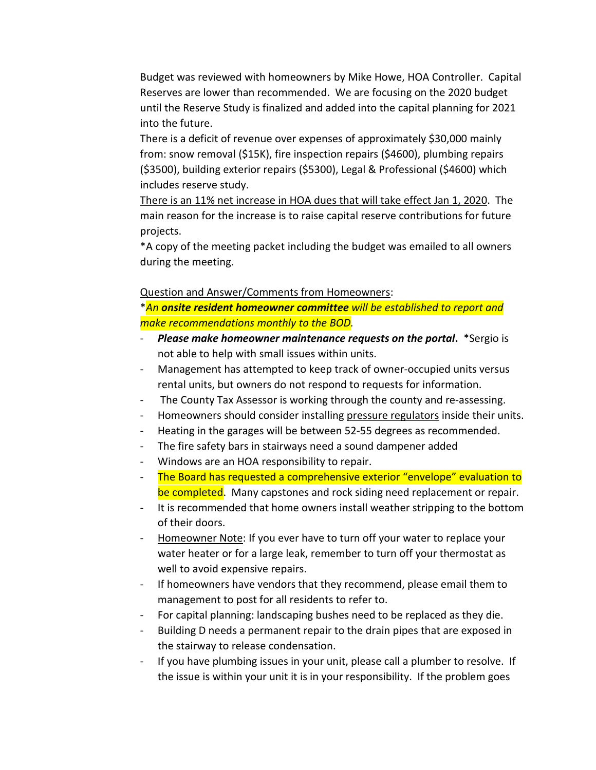Budget was reviewed with homeowners by Mike Howe, HOA Controller. Capital Reserves are lower than recommended. We are focusing on the 2020 budget until the Reserve Study is finalized and added into the capital planning for 2021 into the future.

There is a deficit of revenue over expenses of approximately \$30,000 mainly from: snow removal (\$15K), fire inspection repairs (\$4600), plumbing repairs (\$3500), building exterior repairs (\$5300), Legal & Professional (\$4600) which includes reserve study.

There is an 11% net increase in HOA dues that will take effect Jan 1, 2020. The main reason for the increase is to raise capital reserve contributions for future projects.

\*A copy of the meeting packet including the budget was emailed to all owners during the meeting.

### Question and Answer/Comments from Homeowners:

\**An onsite resident homeowner committee will be established to report and make recommendations monthly to the BOD.*

- *Please make homeowner maintenance requests on the portal***.** \*Sergio is not able to help with small issues within units.
- Management has attempted to keep track of owner-occupied units versus rental units, but owners do not respond to requests for information.
- The County Tax Assessor is working through the county and re-assessing.
- Homeowners should consider installing pressure regulators inside their units.
- Heating in the garages will be between 52-55 degrees as recommended.
- The fire safety bars in stairways need a sound dampener added
- Windows are an HOA responsibility to repair.
- The Board has requested a comprehensive exterior "envelope" evaluation to be completed. Many capstones and rock siding need replacement or repair.
- It is recommended that home owners install weather stripping to the bottom of their doors.
- Homeowner Note: If you ever have to turn off your water to replace your water heater or for a large leak, remember to turn off your thermostat as well to avoid expensive repairs.
- If homeowners have vendors that they recommend, please email them to management to post for all residents to refer to.
- For capital planning: landscaping bushes need to be replaced as they die.
- Building D needs a permanent repair to the drain pipes that are exposed in the stairway to release condensation.
- If you have plumbing issues in your unit, please call a plumber to resolve. If the issue is within your unit it is in your responsibility. If the problem goes